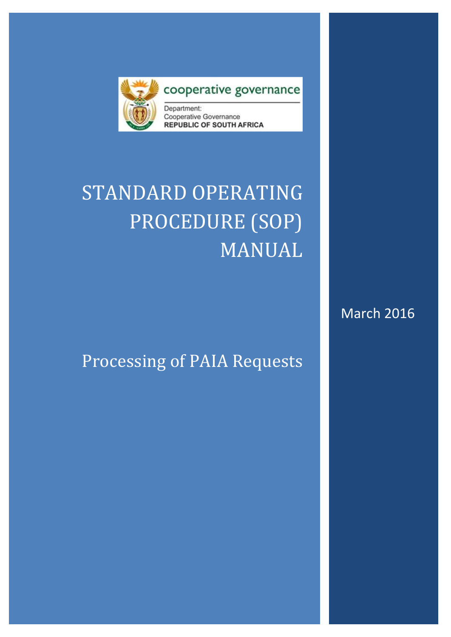

### cooperative governance

Department: Cooperative Governance **REPUBLIC OF SOUTH AFRICA** 

# STANDARD OPERATING PROCEDURE (SOP) MANUAL

## Processing of PAIA Requests

March 2016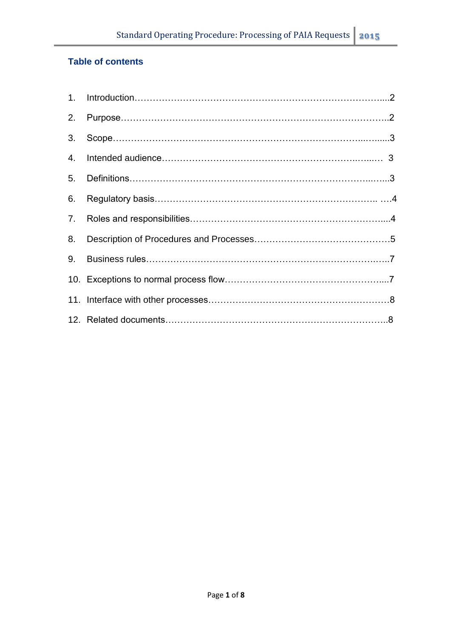#### **Table of contents**

| 3. |  |
|----|--|
| 4. |  |
|    |  |
| 6. |  |
|    |  |
| 8. |  |
| 9. |  |
|    |  |
|    |  |
|    |  |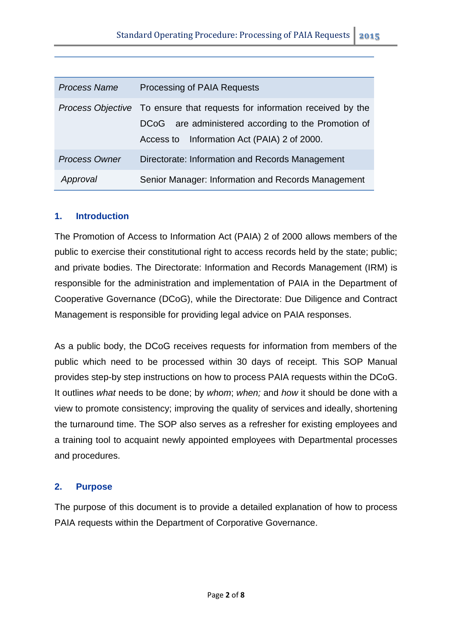| <b>Process Name</b>  | Processing of PAIA Requests                                                                                                                                                            |
|----------------------|----------------------------------------------------------------------------------------------------------------------------------------------------------------------------------------|
|                      | <i>Process Objective</i> To ensure that requests for information received by the<br>DCoG are administered according to the Promotion of<br>Access to Information Act (PAIA) 2 of 2000. |
| <b>Process Owner</b> | Directorate: Information and Records Management                                                                                                                                        |
| Approval             | Senior Manager: Information and Records Management                                                                                                                                     |

#### **1. Introduction**

The Promotion of Access to Information Act (PAIA) 2 of 2000 allows members of the public to exercise their constitutional right to access records held by the state; public; and private bodies. The Directorate: Information and Records Management (IRM) is responsible for the administration and implementation of PAIA in the Department of Cooperative Governance (DCoG), while the Directorate: Due Diligence and Contract Management is responsible for providing legal advice on PAIA responses.

As a public body, the DCoG receives requests for information from members of the public which need to be processed within 30 days of receipt. This SOP Manual provides step-by step instructions on how to process PAIA requests within the DCoG. It outlines *what* needs to be done; by *whom*; *when;* and *how* it should be done with a view to promote consistency; improving the quality of services and ideally, shortening the turnaround time. The SOP also serves as a refresher for existing employees and a training tool to acquaint newly appointed employees with Departmental processes and procedures.

#### **2. Purpose**

The purpose of this document is to provide a detailed explanation of how to process PAIA requests within the Department of Corporative Governance.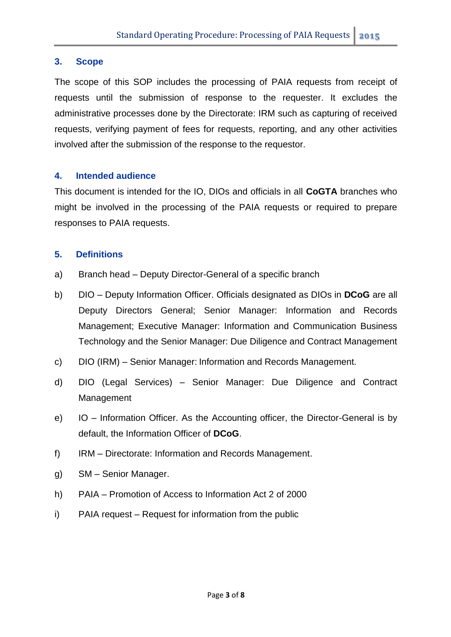#### **3. Scope**

The scope of this SOP includes the processing of PAIA requests from receipt of requests until the submission of response to the requester. It excludes the administrative processes done by the Directorate: IRM such as capturing of received requests, verifying payment of fees for requests, reporting, and any other activities involved after the submission of the response to the requestor.

#### **4. Intended audience**

This document is intended for the IO, DIOs and officials in all **CoGTA** branches who might be involved in the processing of the PAIA requests or required to prepare responses to PAIA requests.

#### **5. Definitions**

- a) Branch head Deputy Director-General of a specific branch
- b) DIO Deputy Information Officer. Officials designated as DIOs in **DCoG** are all Deputy Directors General; Senior Manager: Information and Records Management; Executive Manager: Information and Communication Business Technology and the Senior Manager: Due Diligence and Contract Management
- c) DIO (IRM) Senior Manager: Information and Records Management.
- d) DIO (Legal Services) Senior Manager: Due Diligence and Contract Management
- e) IO Information Officer. As the Accounting officer, the Director-General is by default, the Information Officer of **DCoG**.
- f) IRM Directorate: Information and Records Management.
- g) SM Senior Manager.
- h) PAIA Promotion of Access to Information Act 2 of 2000
- i) PAIA request Request for information from the public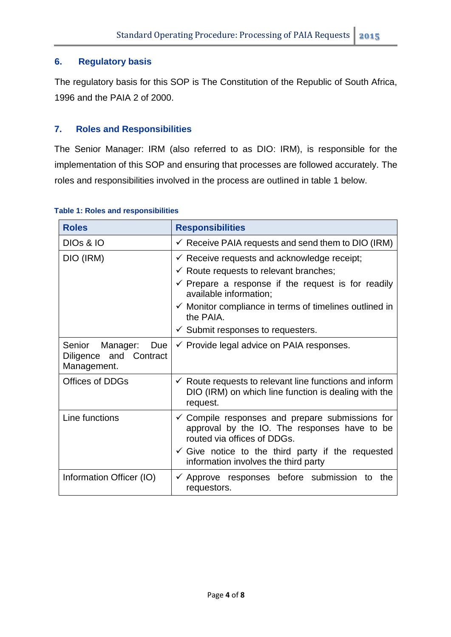#### **6. Regulatory basis**

The regulatory basis for this SOP is The Constitution of the Republic of South Africa, 1996 and the PAIA 2 of 2000.

#### **7. Roles and Responsibilities**

The Senior Manager: IRM (also referred to as DIO: IRM), is responsible for the implementation of this SOP and ensuring that processes are followed accurately. The roles and responsibilities involved in the process are outlined in table 1 below.

| <b>Roles</b>                                                    | <b>Responsibilities</b>                                                                                                                                                                                                                                                                                                                  |
|-----------------------------------------------------------------|------------------------------------------------------------------------------------------------------------------------------------------------------------------------------------------------------------------------------------------------------------------------------------------------------------------------------------------|
| <b>DIOS &amp; IO</b>                                            | $\checkmark$ Receive PAIA requests and send them to DIO (IRM)                                                                                                                                                                                                                                                                            |
| DIO (IRM)                                                       | $\checkmark$ Receive requests and acknowledge receipt;<br>$\checkmark$ Route requests to relevant branches;<br>$\checkmark$ Prepare a response if the request is for readily<br>available information;<br>$\checkmark$ Monitor compliance in terms of timelines outlined in<br>the PAIA.<br>$\checkmark$ Submit responses to requesters. |
| Senior Manager:<br>Due<br>Diligence and Contract<br>Management. | $\checkmark$ Provide legal advice on PAIA responses.                                                                                                                                                                                                                                                                                     |
| <b>Offices of DDGs</b>                                          | $\checkmark$ Route requests to relevant line functions and inform<br>DIO (IRM) on which line function is dealing with the<br>request.                                                                                                                                                                                                    |
| Line functions                                                  | $\checkmark$ Compile responses and prepare submissions for<br>approval by the IO. The responses have to be<br>routed via offices of DDGs.<br>$\checkmark$ Give notice to the third party if the requested<br>information involves the third party                                                                                        |
| Information Officer (IO)                                        | $\checkmark$ Approve responses before submission<br>the<br>to<br>requestors.                                                                                                                                                                                                                                                             |

#### **Table 1: Roles and responsibilities**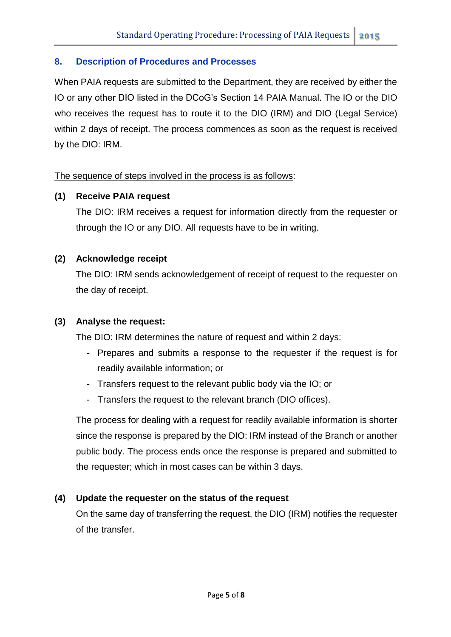#### **8. Description of Procedures and Processes**

When PAIA requests are submitted to the Department, they are received by either the IO or any other DIO listed in the DCoG's Section 14 PAIA Manual. The IO or the DIO who receives the request has to route it to the DIO (IRM) and DIO (Legal Service) within 2 days of receipt. The process commences as soon as the request is received by the DIO: IRM.

The sequence of steps involved in the process is as follows:

#### **(1) Receive PAIA request**

The DIO: IRM receives a request for information directly from the requester or through the IO or any DIO. All requests have to be in writing.

#### **(2) Acknowledge receipt**

The DIO: IRM sends acknowledgement of receipt of request to the requester on the day of receipt.

#### **(3) Analyse the request:**

The DIO: IRM determines the nature of request and within 2 days:

- Prepares and submits a response to the requester if the request is for readily available information; or
- Transfers request to the relevant public body via the IO; or
- Transfers the request to the relevant branch (DIO offices).

The process for dealing with a request for readily available information is shorter since the response is prepared by the DIO: IRM instead of the Branch or another public body. The process ends once the response is prepared and submitted to the requester; which in most cases can be within 3 days.

#### **(4) Update the requester on the status of the request**

On the same day of transferring the request, the DIO (IRM) notifies the requester of the transfer.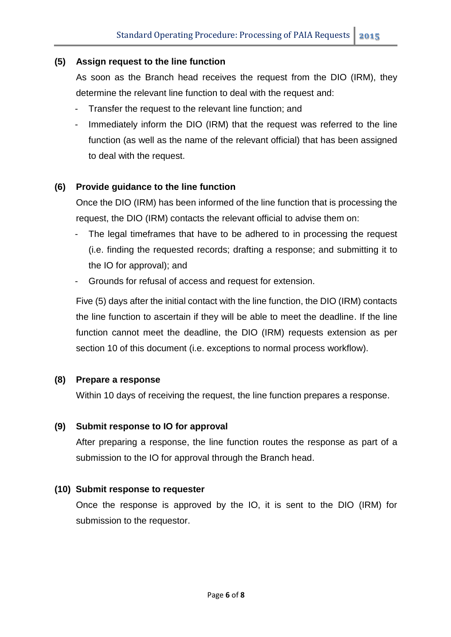#### **(5) Assign request to the line function**

As soon as the Branch head receives the request from the DIO (IRM), they determine the relevant line function to deal with the request and:

- Transfer the request to the relevant line function; and
- Immediately inform the DIO (IRM) that the request was referred to the line function (as well as the name of the relevant official) that has been assigned to deal with the request.

#### **(6) Provide guidance to the line function**

Once the DIO (IRM) has been informed of the line function that is processing the request, the DIO (IRM) contacts the relevant official to advise them on:

- The legal timeframes that have to be adhered to in processing the request (i.e. finding the requested records; drafting a response; and submitting it to the IO for approval); and
- Grounds for refusal of access and request for extension.

Five (5) days after the initial contact with the line function, the DIO (IRM) contacts the line function to ascertain if they will be able to meet the deadline. If the line function cannot meet the deadline, the DIO (IRM) requests extension as per section 10 of this document (i.e. exceptions to normal process workflow).

#### **(8) Prepare a response**

Within 10 days of receiving the request, the line function prepares a response.

#### **(9) Submit response to IO for approval**

After preparing a response, the line function routes the response as part of a submission to the IO for approval through the Branch head.

#### **(10) Submit response to requester**

Once the response is approved by the IO, it is sent to the DIO (IRM) for submission to the requestor.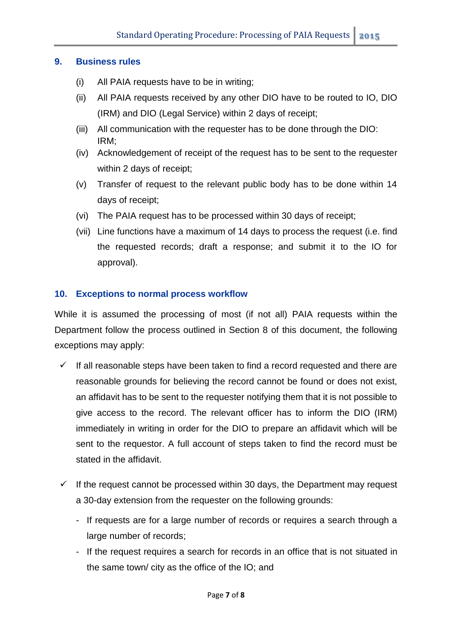#### **9. Business rules**

- (i) All PAIA requests have to be in writing;
- (ii) All PAIA requests received by any other DIO have to be routed to IO, DIO (IRM) and DIO (Legal Service) within 2 days of receipt;
- (iii) All communication with the requester has to be done through the DIO: IRM;
- (iv) Acknowledgement of receipt of the request has to be sent to the requester within 2 days of receipt;
- (v) Transfer of request to the relevant public body has to be done within 14 days of receipt;
- (vi) The PAIA request has to be processed within 30 days of receipt;
- (vii) Line functions have a maximum of 14 days to process the request (i.e. find the requested records; draft a response; and submit it to the IO for approval).

#### **10. Exceptions to normal process workflow**

While it is assumed the processing of most (if not all) PAIA requests within the Department follow the process outlined in Section 8 of this document, the following exceptions may apply:

- $\checkmark$  If all reasonable steps have been taken to find a record requested and there are reasonable grounds for believing the record cannot be found or does not exist, an affidavit has to be sent to the requester notifying them that it is not possible to give access to the record. The relevant officer has to inform the DIO (IRM) immediately in writing in order for the DIO to prepare an affidavit which will be sent to the requestor. A full account of steps taken to find the record must be stated in the affidavit.
- $\checkmark$  If the request cannot be processed within 30 days, the Department may request a 30-day extension from the requester on the following grounds:
	- If requests are for a large number of records or requires a search through a large number of records;
	- If the request requires a search for records in an office that is not situated in the same town/ city as the office of the IO; and